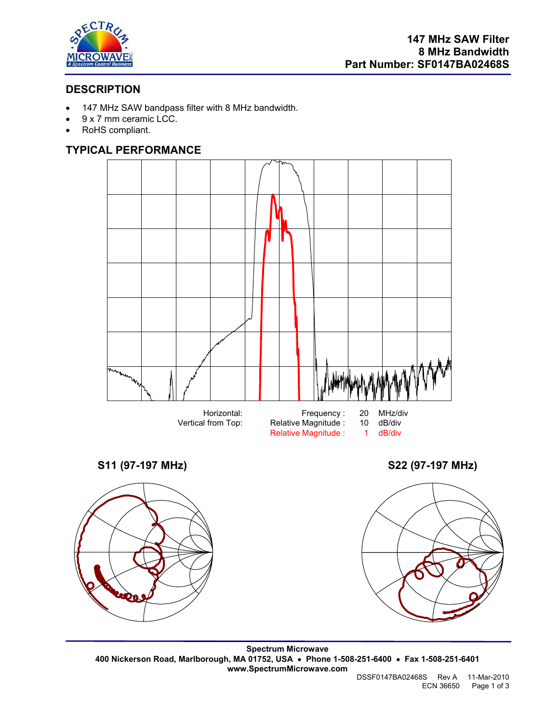

# **DESCRIPTION**

- 147 MHz SAW bandpass filter with 8 MHz bandwidth.
- 9 x 7 mm ceramic LCC.
- RoHS compliant.

# **TYPICAL PERFORMANCE**



Relative Magnitude : 1



**S11 (97-197 MHz) S22 (97-197 MHz)** 



**Spectrum Microwave 400 Nickerson Road, Marlborough, MA 01752, USA** • **Phone 1-508-251-6400** • **Fax 1-508-251-6401 www.SpectrumMicrowave.com** 

DSSF0147BA02468S Rev A 11-Mar-2010 ECN 36650 Page 1 of 3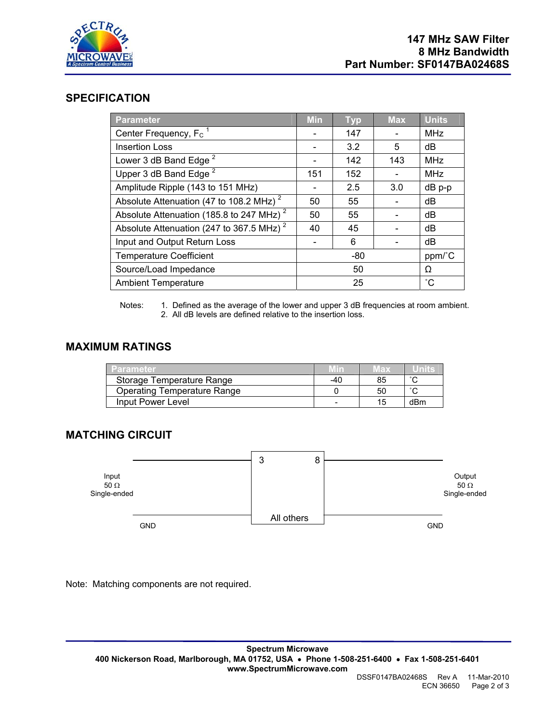

### **SPECIFICATION**

| <b>Parameter</b>                                     | <b>Min</b> | <b>Typ</b> | <b>Max</b> | <b>Units</b>      |
|------------------------------------------------------|------------|------------|------------|-------------------|
| Center Frequency, $F_c$ <sup>1</sup>                 |            | 147        |            | <b>MHz</b>        |
| <b>Insertion Loss</b>                                |            | 3.2        | 5          | dB                |
| Lower 3 dB Band Edge <sup>2</sup>                    |            | 142        | 143        | <b>MHz</b>        |
| Upper 3 dB Band Edge <sup>2</sup>                    | 151        | 152        |            | <b>MHz</b>        |
| Amplitude Ripple (143 to 151 MHz)                    |            | 2.5        | 3.0        | dB p-p            |
| Absolute Attenuation (47 to 108.2 MHz) <sup>2</sup>  | 50         | 55         |            | dB                |
| Absolute Attenuation (185.8 to 247 MHz) <sup>2</sup> | 50         | 55         |            | dB                |
| Absolute Attenuation (247 to 367.5 MHz) <sup>2</sup> | 40         | 45         |            | dB                |
| Input and Output Return Loss                         |            | 6          |            | dB                |
| <b>Temperature Coefficient</b>                       | -80        |            |            | ppm/°C            |
| Source/Load Impedance                                | 50         |            |            | Ω                 |
| <b>Ambient Temperature</b>                           | 25         |            |            | $^{\circ}{\rm C}$ |

Notes: 1. Defined as the average of the lower and upper 3 dB frequencies at room ambient. 2. All dB levels are defined relative to the insertion loss.

### **MAXIMUM RATINGS**

| Parameter                          |     | иах |     |
|------------------------------------|-----|-----|-----|
| Storage Temperature Range          | -40 | 85  |     |
| <b>Operating Temperature Range</b> |     | 50  |     |
| Input Power Level                  |     | 15. | dBm |

## **MATCHING CIRCUIT**



Note: Matching components are not required.